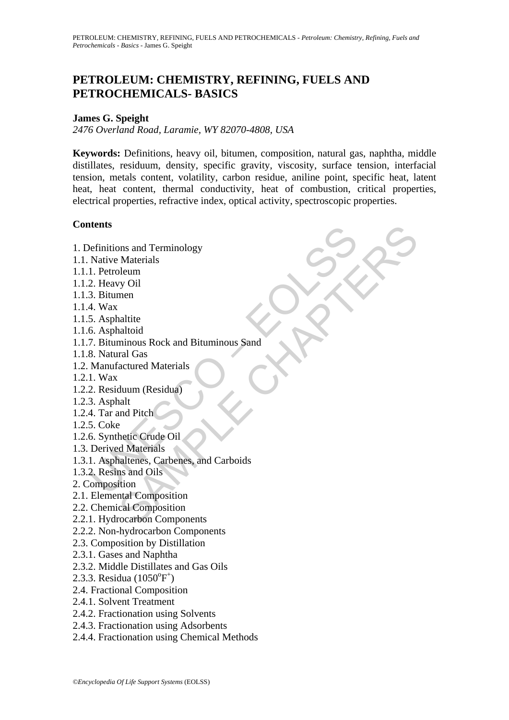# **PETROLEUM: CHEMISTRY, REFINING, FUELS AND PETROCHEMICALS- BASICS**

#### **James G. Speight**

*2476 Overland Road, Laramie, WY 82070-4808, USA* 

**Keywords:** Definitions, heavy oil, bitumen, composition, natural gas, naphtha, middle distillates, residuum, density, specific gravity, viscosity, surface tension, interfacial tension, metals content, volatility, carbon residue, aniline point, specific heat, latent heat, heat content, thermal conductivity, heat of combustion, critical properties, electrical properties, refractive index, optical activity, spectroscopic properties.

## **Contents**

- 1. Definitions and Terminology
- 1.1. Native Materials
- 1.1.1. Petroleum
- 1.1.2. Heavy Oil
- 1.1.3. Bitumen
- 1.1.4. Wax
- 1.1.5. Asphaltite
- 1.1.6. Asphaltoid
- Meditions and Terminology<br>
Native Materials<br>
1. Petroleum<br>
2. Heavy Oil<br>
4. Wax<br>
4. Wax<br>
5. Asphaltite<br>
6. Asphaltite<br>
6. Asphaltical<br>
7. Bituminous Rock and Bituminous Sand<br>
8. Natural Gas<br>
1. Wax<br>
2. Residuum (Residua)<br> ons and Terminology<br>
Materials<br>
Useum<br>
USO Coline<br>
USO Coline<br>
analtitie<br>
analtitie<br>
analtie<br>
analtie<br>
analtie<br>
analtie<br>
analtie<br>
dividual Materials<br>
analtie<br>
and Materials<br>
and Materials<br>
2<br>
A Materials<br>
2<br>
Analtience, Ca 1.1.7. Bituminous Rock and Bituminous Sand
- 1.1.8. Natural Gas
- 1.2. Manufactured Materials
- 1.2.1. Wax
- 1.2.2. Residuum (Residua)
- 1.2.3. Asphalt
- 1.2.4. Tar and Pitch
- 1.2.5. Coke
- 1.2.6. Synthetic Crude Oil
- 1.3. Derived Materials
- 1.3.1. Asphaltenes, Carbenes, and Carboids
- 1.3.2. Resins and Oils
- 2. Composition
- 2.1. Elemental Composition
- 2.2. Chemical Composition
- 2.2.1. Hydrocarbon Components
- 2.2.2. Non-hydrocarbon Components
- 2.3. Composition by Distillation
- 2.3.1. Gases and Naphtha
- 2.3.2. Middle Distillates and Gas Oils
- 2.3.3. Residua  $(1050^{\circ}F^{+})$
- 2.4. Fractional Composition
- 2.4.1. Solvent Treatment
- 2.4.2. Fractionation using Solvents
- 2.4.3. Fractionation using Adsorbents
- 2.4.4. Fractionation using Chemical Methods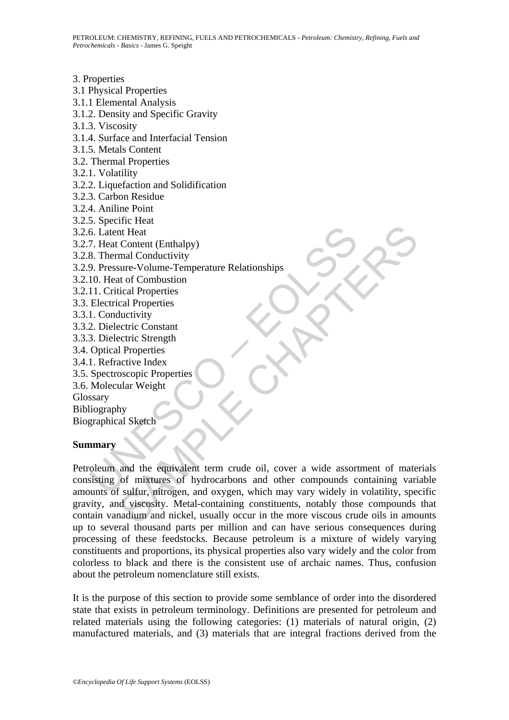- 3. Properties
- 3.1 Physical Properties
- 3.1.1 Elemental Analysis
- 3.1.2. Density and Specific Gravity
- 3.1.3. Viscosity
- 3.1.4. Surface and Interfacial Tension
- 3.1.5. Metals Content
- 3.2. Thermal Properties
- 3.2.1. Volatility
- 3.2.2. Liquefaction and Solidification
- 3.2.3. Carbon Residue
- 3.2.4. Aniline Point
- 3.2.5. Specific Heat
- 3.2.6. Latent Heat
- 3.2.7. Heat Content (Enthalpy)
- 3.2.8. Thermal Conductivity
- 3.2.9. Pressure-Volume-Temperature Relationships
- 3.2.10. Heat of Combustion
- 3.2.11. Critical Properties
- 3.3. Electrical Properties
- 3.3.1. Conductivity
- 3.3.2. Dielectric Constant
- 3.3.3. Dielectric Strength
- 3.4. Optical Properties
- 3.4.1. Refractive Index
- 3.5. Spectroscopic Properties
- 3.6. Molecular Weight

**Glossary** 

Bibliography

Biographical Sketch

#### **Summary**

6. Latent Heat<br>
7. Heat Content (Enthalpy)<br>
8. Thermal Conductivity<br>
9. Pressure-Volume-Temperature Relationships<br>
10. Heat of Combustion<br>
11. Critical Properties<br>
Electrical Properties<br>
1. Conductivity<br>
2. Dielectric Stro The Medicinal Conductivity<br>
and Conductivity<br>
sure-Volume-Temperature Relationships<br>
sure-Volume-Temperature Relationships<br>
to of Combustion<br>
the of Combustion<br>
lectric Constant<br>
lectric Constant<br>
excite Constant<br>
excite C Petroleum and the equivalent term crude oil, cover a wide assortment of materials consisting of mixtures of hydrocarbons and other compounds containing variable amounts of sulfur, nitrogen, and oxygen, which may vary widely in volatility, specific gravity, and viscosity. Metal-containing constituents, notably those compounds that contain vanadium and nickel, usually occur in the more viscous crude oils in amounts up to several thousand parts per million and can have serious consequences during processing of these feedstocks. Because petroleum is a mixture of widely varying constituents and proportions, its physical properties also vary widely and the color from colorless to black and there is the consistent use of archaic names. Thus, confusion about the petroleum nomenclature still exists.

It is the purpose of this section to provide some semblance of order into the disordered state that exists in petroleum terminology. Definitions are presented for petroleum and related materials using the following categories: (1) materials of natural origin, (2) manufactured materials, and (3) materials that are integral fractions derived from the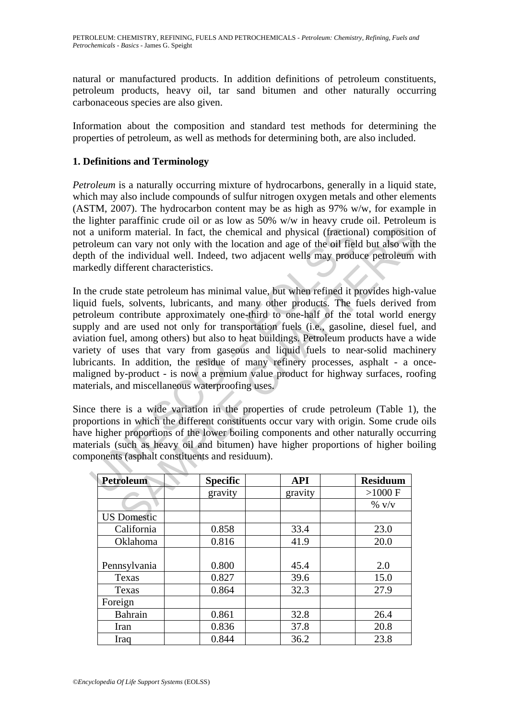natural or manufactured products. In addition definitions of petroleum constituents, petroleum products, heavy oil, tar sand bitumen and other naturally occurring carbonaceous species are also given.

Information about the composition and standard test methods for determining the properties of petroleum, as well as methods for determining both, are also included.

### **1. Definitions and Terminology**

*Petroleum* is a naturally occurring mixture of hydrocarbons, generally in a liquid state, which may also include compounds of sulfur nitrogen oxygen metals and other elements (ASTM, 2007). The hydrocarbon content may be as high as 97% w/w, for example in the lighter paraffinic crude oil or as low as 50% w/w in heavy crude oil. Petroleum is not a uniform material. In fact, the chemical and physical (fractional) composition of petroleum can vary not only with the location and age of the oil field but also with the depth of the individual well. Indeed, two adjacent wells may produce petroleum with markedly different characteristics.

a uniform material. In fact, the chemical and physical (fraction<br>oleum can vary not only with the location and age of the oil field<br>th of the individual well. Indeed, two adjacent wells may produ<br>kedly different characteri From material. In fact, the chemical and physical (fractional) compositions are vary not only with the location and age of the oil field but also with<br>the individual well. Indeed, two adjacent wells may produce pertoleum<br> In the crude state petroleum has minimal value, but when refined it provides high-value liquid fuels, solvents, lubricants, and many other products. The fuels derived from petroleum contribute approximately one-third to one-half of the total world energy supply and are used not only for transportation fuels (i.e., gasoline, diesel fuel, and aviation fuel, among others) but also to heat buildings. Petroleum products have a wide variety of uses that vary from gaseous and liquid fuels to near-solid machinery lubricants. In addition, the residue of many refinery processes, asphalt - a oncemaligned by-product - is now a premium value product for highway surfaces, roofing materials, and miscellaneous waterproofing uses.

Since there is a wide variation in the properties of crude petroleum (Table 1), the proportions in which the different constituents occur vary with origin. Some crude oils have higher proportions of the lower boiling components and other naturally occurring materials (such as heavy oil and bitumen) have higher proportions of higher boiling components (asphalt constituents and residuum).

| Petroleum          | <b>Specific</b> | <b>API</b> | <b>Residuum</b> |
|--------------------|-----------------|------------|-----------------|
|                    | gravity         | gravity    | $>1000$ F       |
|                    |                 |            | $\%$ v/v        |
| <b>US</b> Domestic |                 |            |                 |
| California         | 0.858           | 33.4       | 23.0            |
| Oklahoma           | 0.816           | 41.9       | 20.0            |
|                    |                 |            |                 |
| Pennsylvania       | 0.800           | 45.4       | 2.0             |
| Texas              | 0.827           | 39.6       | 15.0            |
| Texas              | 0.864           | 32.3       | 27.9            |
| Foreign            |                 |            |                 |
| <b>Bahrain</b>     | 0.861           | 32.8       | 26.4            |
| Iran               | 0.836           | 37.8       | 20.8            |
| Iraq               | 0.844           | 36.2       | 23.8            |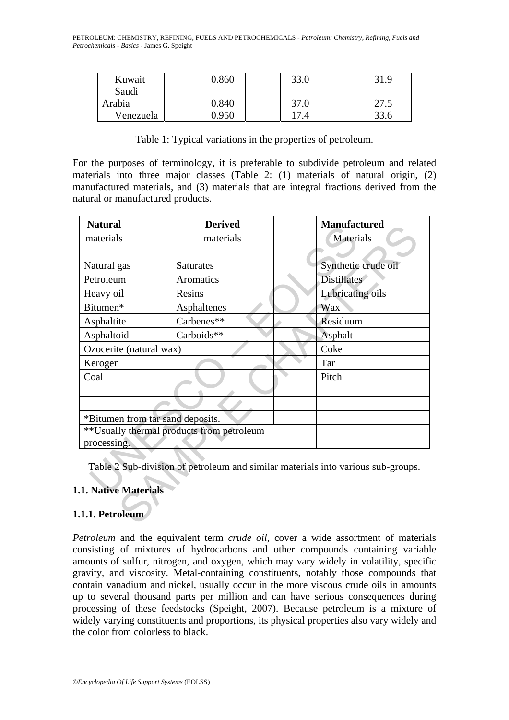| Kuwait    | 0.860 | 33.0 | <b>Q</b> |
|-----------|-------|------|----------|
| Saudi     |       |      |          |
| Arabia    | 0.840 | 37.0 | 27.5     |
| Venezuela | 0.950 | 17.4 | 33.6     |

Table 1: Typical variations in the properties of petroleum.

For the purposes of terminology, it is preferable to subdivide petroleum and related materials into three major classes (Table 2: (1) materials of natural origin, (2) manufactured materials, and (3) materials that are integral fractions derived from the natural or manufactured products.

| <b>Natural</b>                                                                   |  | <b>Derived</b>   |                     | <b>Manufactured</b> |  |  |  |
|----------------------------------------------------------------------------------|--|------------------|---------------------|---------------------|--|--|--|
| materials                                                                        |  | materials        |                     | Materials           |  |  |  |
|                                                                                  |  |                  |                     |                     |  |  |  |
| Natural gas                                                                      |  | <b>Saturates</b> | Synthetic crude oil |                     |  |  |  |
| Petroleum                                                                        |  | Aromatics        |                     | <b>Distillates</b>  |  |  |  |
| Heavy oil                                                                        |  | Resins           |                     | Lubricating oils    |  |  |  |
| Bitumen*                                                                         |  | Asphaltenes      |                     | Wax                 |  |  |  |
| Asphaltite                                                                       |  | Carbenes**       |                     | Residuum            |  |  |  |
| Asphaltoid                                                                       |  | Carboids**       |                     | Asphalt             |  |  |  |
| Ozocerite (natural wax)                                                          |  | Coke             |                     |                     |  |  |  |
| Kerogen                                                                          |  |                  |                     | Tar                 |  |  |  |
| Coal                                                                             |  |                  |                     | Pitch               |  |  |  |
|                                                                                  |  |                  |                     |                     |  |  |  |
|                                                                                  |  |                  |                     |                     |  |  |  |
| *Bitumen from tar sand deposits.                                                 |  |                  |                     |                     |  |  |  |
| ** Usually thermal products from petroleum                                       |  |                  |                     |                     |  |  |  |
| processing.                                                                      |  |                  |                     |                     |  |  |  |
|                                                                                  |  |                  |                     |                     |  |  |  |
| Table 2 Sub-division of petroleum and similar materials into various sub-groups. |  |                  |                     |                     |  |  |  |
| .1. Native Materials                                                             |  |                  |                     |                     |  |  |  |
|                                                                                  |  |                  |                     |                     |  |  |  |
| .1.1. Petroleum                                                                  |  |                  |                     |                     |  |  |  |

## **1.1. Native Materials**

## **1.1.1. Petroleum**

*Petroleum* and the equivalent term *crude oil*, cover a wide assortment of materials consisting of mixtures of hydrocarbons and other compounds containing variable amounts of sulfur, nitrogen, and oxygen, which may vary widely in volatility, specific gravity, and viscosity. Metal-containing constituents, notably those compounds that contain vanadium and nickel, usually occur in the more viscous crude oils in amounts up to several thousand parts per million and can have serious consequences during processing of these feedstocks (Speight, 2007). Because petroleum is a mixture of widely varying constituents and proportions, its physical properties also vary widely and the color from colorless to black.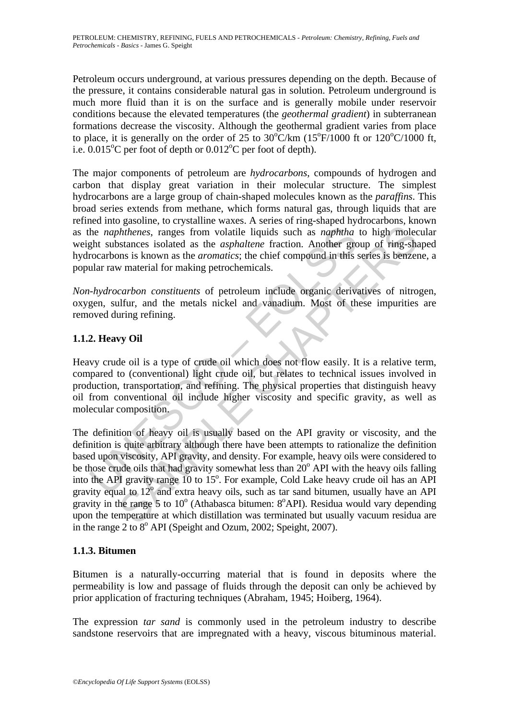Petroleum occurs underground, at various pressures depending on the depth. Because of the pressure, it contains considerable natural gas in solution. Petroleum underground is much more fluid than it is on the surface and is generally mobile under reservoir conditions because the elevated temperatures (the *geothermal gradient*) in subterranean formations decrease the viscosity. Although the geothermal gradient varies from place to place, it is generally on the order of 25 to 30°C/km (15°F/1000 ft or 120°C/1000 ft, i.e.  $0.015^{\circ}$ C per foot of depth or  $0.012^{\circ}$ C per foot of depth).

The major components of petroleum are *hydrocarbons*, compounds of hydrogen and carbon that display great variation in their molecular structure. The simplest hydrocarbons are a large group of chain-shaped molecules known as the *paraffins*. This broad series extends from methane, which forms natural gas, through liquids that are refined into gasoline, to crystalline waxes. A series of ring-shaped hydrocarbons, known as the *naphthenes*, ranges from volatile liquids such as *naphtha* to high molecular weight substances isolated as the *asphaltene* fraction. Another group of ring-shaped hydrocarbons is known as the *aromatics*; the chief compound in this series is benzene, a popular raw material for making petrochemicals.

*Non-hydrocarbon constituents* of petroleum include organic derivatives of nitrogen, oxygen, sulfur, and the metals nickel and vanadium. Most of these impurities are removed during refining.

## **1.1.2. Heavy Oil**

Heavy crude oil is a type of crude oil which does not flow easily. It is a relative term, compared to (conventional) light crude oil, but relates to technical issues involved in production, transportation, and refining. The physical properties that distinguish heavy oil from conventional oil include higher viscosity and specific gravity, as well as molecular composition.

the *naphthenes*, ranges from volatile liquids such as *naphtha*<br>ght substances isolated as the *asphaltene* fraction. Another grocarbons is known as the *aromatics*; the chief compound in this sular raw material for maki strates, ranges from volatile liquids such as *naphtha* to high molecostances isolated as the *asphaltene* fraction. Another group of ring-shaps is known as the *aromatics*; the chief compound in this series is benzet w ma The definition of heavy oil is usually based on the API gravity or viscosity, and the definition is quite arbitrary although there have been attempts to rationalize the definition based upon viscosity, API gravity, and density. For example, heavy oils were considered to be those crude oils that had gravity somewhat less than  $20^{\circ}$  API with the heavy oils falling into the API gravity range  $10$  to  $15^\circ$ . For example, Cold Lake heavy crude oil has an API gravity equal to  $12^{\circ}$  and extra heavy oils, such as tar sand bitumen, usually have an API gravity in the range 5 to  $10^{\circ}$  (Athabasca bitumen: 8°API). Residua would vary depending upon the temperature at which distillation was terminated but usually vacuum residua are in the range  $2$  to  $8^{\circ}$  API (Speight and Ozum, 2002; Speight, 2007).

## **1.1.3. Bitumen**

Bitumen is a naturally-occurring material that is found in deposits where the permeability is low and passage of fluids through the deposit can only be achieved by prior application of fracturing techniques (Abraham, 1945; Hoiberg, 1964).

The expression *tar sand* is commonly used in the petroleum industry to describe sandstone reservoirs that are impregnated with a heavy, viscous bituminous material.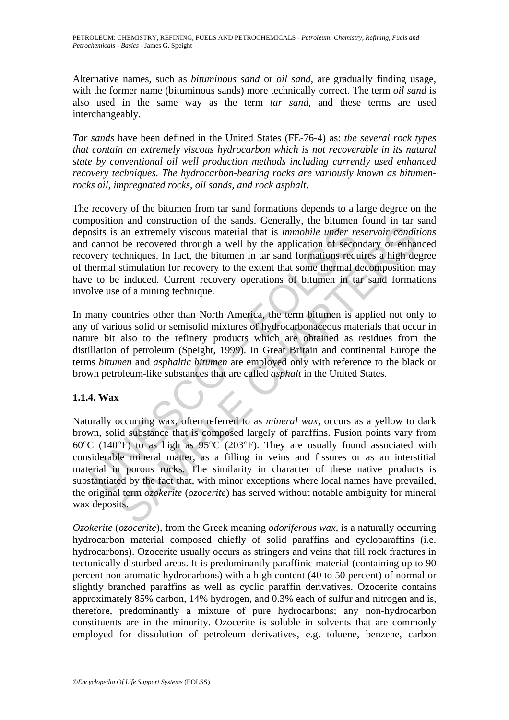Alternative names, such as *bituminous sand* or *oil sand*, are gradually finding usage, with the former name (bituminous sands) more technically correct. The term *oil sand* is also used in the same way as the term *tar sand*, and these terms are used interchangeably.

*Tar sands* have been defined in the United States (FE-76-4) as: *the several rock types that contain an extremely viscous hydrocarbon which is not recoverable in its natural state by conventional oil well production methods including currently used enhanced recovery techniques. The hydrocarbon-bearing rocks are variously known as bitumenrocks oil, impregnated rocks, oil sands, and rock asphalt*.

The recovery of the bitumen from tar sand formations depends to a large degree on the composition and construction of the sands. Generally, the bitumen found in tar sand deposits is an extremely viscous material that is *immobile under reservoir conditions* and cannot be recovered through a well by the application of secondary or enhanced recovery techniques. In fact, the bitumen in tar sand formations requires a high degree of thermal stimulation for recovery to the extent that some thermal decomposition may have to be induced. Current recovery operations of bitumen in tar sand formations involve use of a mining technique.

In many countries other than North America, the term bitumen is applied not only to any of various solid or semisolid mixtures of hydrocarbonaceous materials that occur in nature bit also to the refinery products which are obtained as residues from the distillation of petroleum (Speight, 1999). In Great Britain and continental Europe the terms *bitumen* and *asphaltic bitumen* are employed only with reference to the black or brown petroleum-like substances that are called *asphalt* in the United States.

## **1.1.4. Wax**

issuits is an extremely viscous material that is *immobile under re*<br>cannot be recovered through a well by the application of second<br>wery techniques. In fact, the bitumen in tar sand formations requeremal stimulation for an extremely viscous material that is *immobile under reservoir condit*<br>be recovered through a well by the application of secondary or enharchingues. In fact, the bitumen in tar sand formations requires a high de-<br>echniqu Naturally occurring wax, often referred to as *mineral wax*, occurs as a yellow to dark brown, solid substance that is composed largely of paraffins. Fusion points vary from  $60^{\circ}$ C (140°F) to as high as 95°C (203°F). They are usually found associated with considerable mineral matter, as a filling in veins and fissures or as an interstitial material in porous rocks. The similarity in character of these native products is substantiated by the fact that, with minor exceptions where local names have prevailed, the original term *ozokerite* (*ozocerite*) has served without notable ambiguity for mineral wax deposits.

*Ozokerite* (*ozocerite*), from the Greek meaning *odoriferous wax*, is a naturally occurring hydrocarbon material composed chiefly of solid paraffins and cycloparaffins (i.e. hydrocarbons). Ozocerite usually occurs as stringers and veins that fill rock fractures in tectonically disturbed areas. It is predominantly paraffinic material (containing up to 90 percent non-aromatic hydrocarbons) with a high content (40 to 50 percent) of normal or slightly branched paraffins as well as cyclic paraffin derivatives. Ozocerite contains approximately 85% carbon, 14% hydrogen, and 0.3% each of sulfur and nitrogen and is, therefore, predominantly a mixture of pure hydrocarbons; any non-hydrocarbon constituents are in the minority. Ozocerite is soluble in solvents that are commonly employed for dissolution of petroleum derivatives, e.g. toluene, benzene, carbon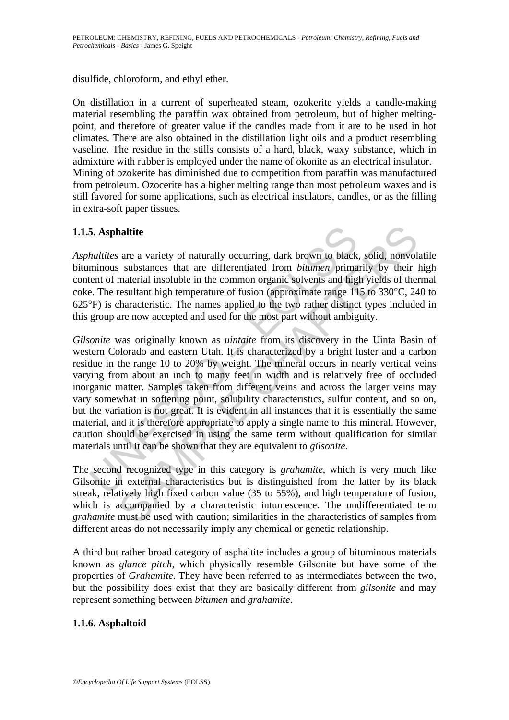disulfide, chloroform, and ethyl ether.

On distillation in a current of superheated steam, ozokerite yields a candle-making material resembling the paraffin wax obtained from petroleum, but of higher meltingpoint, and therefore of greater value if the candles made from it are to be used in hot climates. There are also obtained in the distillation light oils and a product resembling vaseline. The residue in the stills consists of a hard, black, waxy substance, which in admixture with rubber is employed under the name of okonite as an electrical insulator. Mining of ozokerite has diminished due to competition from paraffin was manufactured from petroleum. Ozocerite has a higher melting range than most petroleum waxes and is still favored for some applications, such as electrical insulators, candles, or as the filling in extra-soft paper tissues.

#### **1.1.5. Asphaltite**

*Asphaltites* are a variety of naturally occurring, dark brown to black, solid, nonvolatile bituminous substances that are differentiated from *bitumen* primarily by their high content of material insoluble in the common organic solvents and high yields of thermal coke. The resultant high temperature of fusion (approximate range 115 to 330°C, 240 to 625°F) is characteristic. The names applied to the two rather distinct types included in this group are now accepted and used for the most part without ambiguity.

5. Asphaltite<br>
thaltites are a variety of naturally occurring, dark brown to black<br>
minous substances that are differentiated from *bitumen* prima<br>
tent of material insoluble in the common organic solvents and hig<br>
e. The **haltite**<br>are a variety of naturally occurring, dark brown to black, solid, nonvol<br>s substances that are differentiated from *bitumen* primarily by their l<br>material insoluble in the common organic solvents and high yields *Gilsonite* was originally known as *uintaite* from its discovery in the Uinta Basin of western Colorado and eastern Utah. It is characterized by a bright luster and a carbon residue in the range 10 to 20% by weight. The mineral occurs in nearly vertical veins varying from about an inch to many feet in width and is relatively free of occluded inorganic matter. Samples taken from different veins and across the larger veins may vary somewhat in softening point, solubility characteristics, sulfur content, and so on, but the variation is not great. It is evident in all instances that it is essentially the same material, and it is therefore appropriate to apply a single name to this mineral. However, caution should be exercised in using the same term without qualification for similar materials until it can be shown that they are equivalent to *gilsonite*.

The second recognized type in this category is *grahamite*, which is very much like Gilsonite in external characteristics but is distinguished from the latter by its black streak, relatively high fixed carbon value (35 to 55%), and high temperature of fusion, which is accompanied by a characteristic intumescence. The undifferentiated term *grahamite* must be used with caution; similarities in the characteristics of samples from different areas do not necessarily imply any chemical or genetic relationship.

A third but rather broad category of asphaltite includes a group of bituminous materials known as *glance pitch*, which physically resemble Gilsonite but have some of the properties of *Grahamite*. They have been referred to as intermediates between the two, but the possibility does exist that they are basically different from *gilsonite* and may represent something between *bitumen* and *grahamite*.

#### **1.1.6. Asphaltoid**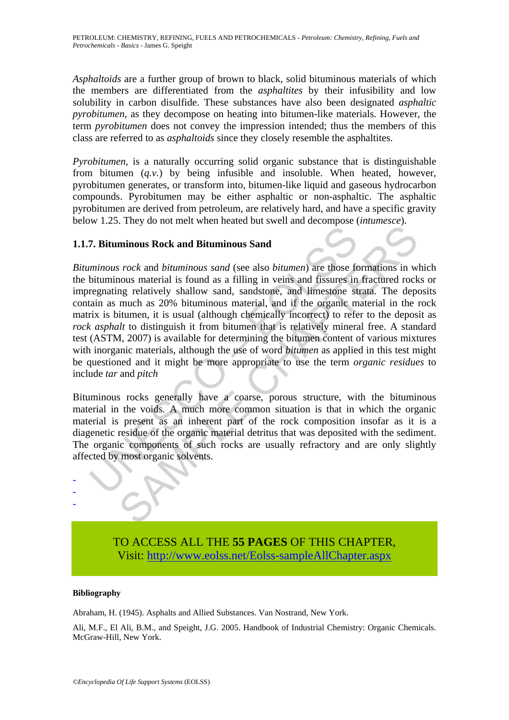*Asphaltoids* are a further group of brown to black, solid bituminous materials of which the members are differentiated from the *asphaltites* by their infusibility and low solubility in carbon disulfide. These substances have also been designated *asphaltic pyrobitumen*, as they decompose on heating into bitumen-like materials. However, the term *pyrobitumen* does not convey the impression intended; thus the members of this class are referred to as *asphaltoids* since they closely resemble the asphaltites.

*Pyrobitumen*, is a naturally occurring solid organic substance that is distinguishable from bitumen (*q.v.*) by being infusible and insoluble. When heated, however, pyrobitumen generates, or transform into, bitumen-like liquid and gaseous hydrocarbon compounds. Pyrobitumen may be either asphaltic or non-asphaltic. The asphaltic pyrobitumen are derived from petroleum, are relatively hard, and have a specific gravity below 1.25. They do not melt when heated but swell and decompose (*intumesce*).

#### **1.1.7. Bituminous Rock and Bituminous Sand**

7. Bituminous Rock and Bituminous Sand<br>
minous rock and bituminous sand (see also bitumen) are those fo<br>
bituminous material is found as a filling in veins and fissures in<br>
regnating relatively shallow sand, sandstone, an Find the bitter of the rock of the red and pitch and the set of the set of the set of the red and  $R$  and  $R$  and  $S$  and  $S$  and  $S$  and  $S$  and  $S$  and  $S$  and  $S$  and  $S$  and  $S$  and  $S$  and  $S$  and  $S$  and  $S$  and  $S$ *Bituminous rock* and *bituminous sand* (see also *bitumen*) are those formations in which the bituminous material is found as a filling in veins and fissures in fractured rocks or impregnating relatively shallow sand, sandstone, and limestone strata. The deposits contain as much as 20% bituminous material, and if the organic material in the rock matrix is bitumen, it is usual (although chemically incorrect) to refer to the deposit as *rock asphalt* to distinguish it from bitumen that is relatively mineral free. A standard test (ASTM, 2007) is available for determining the bitumen content of various mixtures with inorganic materials, although the use of word *bitumen* as applied in this test might be questioned and it might be more appropriate to use the term *organic residues* to include *tar* and *pitch*

Bituminous rocks generally have a coarse, porous structure, with the bituminous material in the voids. A much more common situation is that in which the organic material is present as an inherent part of the rock composition insofar as it is a diagenetic residue of the organic material detritus that was deposited with the sediment. The organic components of such rocks are usually refractory and are only slightly affected by most organic solvents.



#### **Bibliography**

- - -

Abraham, H. (1945). Asphalts and Allied Substances. Van Nostrand, New York.

Ali, M.F., El Ali, B.M., and Speight, J.G. 2005. Handbook of Industrial Chemistry: Organic Chemicals. McGraw-Hill, New York.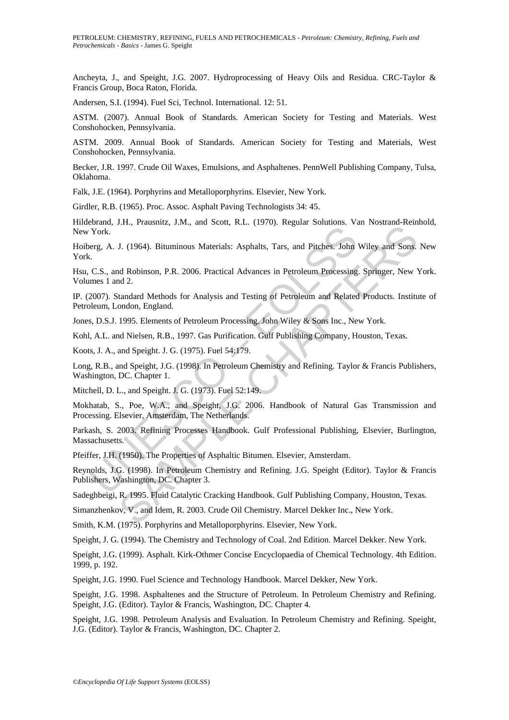Ancheyta, J., and Speight, J.G. 2007. Hydroprocessing of Heavy Oils and Residua. CRC-Taylor & Francis Group, Boca Raton, Florida.

Andersen, S.I. (1994). Fuel Sci, Technol. International. 12: 51.

ASTM. (2007). Annual Book of Standards. American Society for Testing and Materials. West Conshohocken, Pennsylvania.

ASTM. 2009. Annual Book of Standards. American Society for Testing and Materials, West Conshohocken, Pennsylvania.

Becker, J.R. 1997. Crude Oil Waxes, Emulsions, and Asphaltenes. PennWell Publishing Company, Tulsa, Oklahoma.

Falk, J.E. (1964). Porphyrins and Metalloporphyrins. Elsevier, New York.

Girdler, R.B. (1965). Proc. Assoc. Asphalt Paving Technologists 34: 45.

Hildebrand, J.H., Prausnitz, J.M., and Scott, R.L. (1970). Regular Solutions. Van Nostrand-Reinhold, New York.

Hoiberg, A. J. (1964). Bituminous Materials: Asphalts, Tars, and Pitches. John Wiley and Sons. New York.

Hsu, C.S., and Robinson, P.R. 2006. Practical Advances in Petroleum Processing. Springer, New York. Volumes 1 and 2.

IP. (2007). Standard Methods for Analysis and Testing of Petroleum and Related Products. Institute of Petroleum, London, England.

Jones, D.S.J. 1995. Elements of Petroleum Processing. John Wiley & Sons Inc., New York.

Kohl, A.L. and Nielsen, R.B., 1997. Gas Purification. Gulf Publishing Company, Houston, Texas.

Koots, J. A., and Speight. J. G. (1975). Fuel 54:179.

York.<br>
York.<br>
Profit. 11964). Bituminous Materials: Asphalts, Tars, and Pitches. John<br>
C.S., and Robinson, P.R. 2006. Practical Advances in Petroleum Processing<br>
mes 1 and 2.<br>
C.S., and Robinson, P.R. 2006. Practical Advan J. (1964). Bituminous Materials: Asphalts, Tars, and Pitches. John Wiley and Sons.<br>
J. (1964). Bituminous Materials: Asphalts, Tars, and Pitches. John Wiley and Sons.<br>
Id Robinson, P.R. 2006. Practical Advances in Petroleu Long, R.B., and Speight, J.G. (1998). In Petroleum Chemistry and Refining. Taylor & Francis Publishers, Washington, DC. Chapter 1.

Mitchell, D. L., and Speight. J. G. (1973). Fuel 52:149.

Mokhatab, S., Poe, W.A., and Speight, J.G. 2006. Handbook of Natural Gas Transmission and Processing. Elsevier, Amsterdam, The Netherlands.

Parkash, S. 2003. Refining Processes Handbook. Gulf Professional Publishing, Elsevier, Burlington, Massachusetts.

Pfeiffer, J.H. (1950). The Properties of Asphaltic Bitumen. Elsevier, Amsterdam.

Reynolds, J.G. (1998). In Petroleum Chemistry and Refining. J.G. Speight (Editor). Taylor & Francis Publishers, Washington, DC. Chapter 3.

Sadeghbeigi, R. 1995. Fluid Catalytic Cracking Handbook. Gulf Publishing Company, Houston, Texas.

Simanzhenkov, V., and Idem, R. 2003. Crude Oil Chemistry. Marcel Dekker Inc., New York.

Smith, K.M. (1975). Porphyrins and Metalloporphyrins. Elsevier, New York.

Speight, J. G. (1994). The Chemistry and Technology of Coal. 2nd Edition. Marcel Dekker. New York.

Speight, J.G. (1999). Asphalt. Kirk-Othmer Concise Encyclopaedia of Chemical Technology. 4th Edition. 1999, p. 192.

Speight, J.G. 1990. Fuel Science and Technology Handbook. Marcel Dekker, New York.

Speight, J.G. 1998. Asphaltenes and the Structure of Petroleum. In Petroleum Chemistry and Refining. Speight, J.G. (Editor). Taylor & Francis, Washington, DC. Chapter 4.

Speight, J.G. 1998. Petroleum Analysis and Evaluation. In Petroleum Chemistry and Refining. Speight, J.G. (Editor). Taylor & Francis, Washington, DC. Chapter 2.